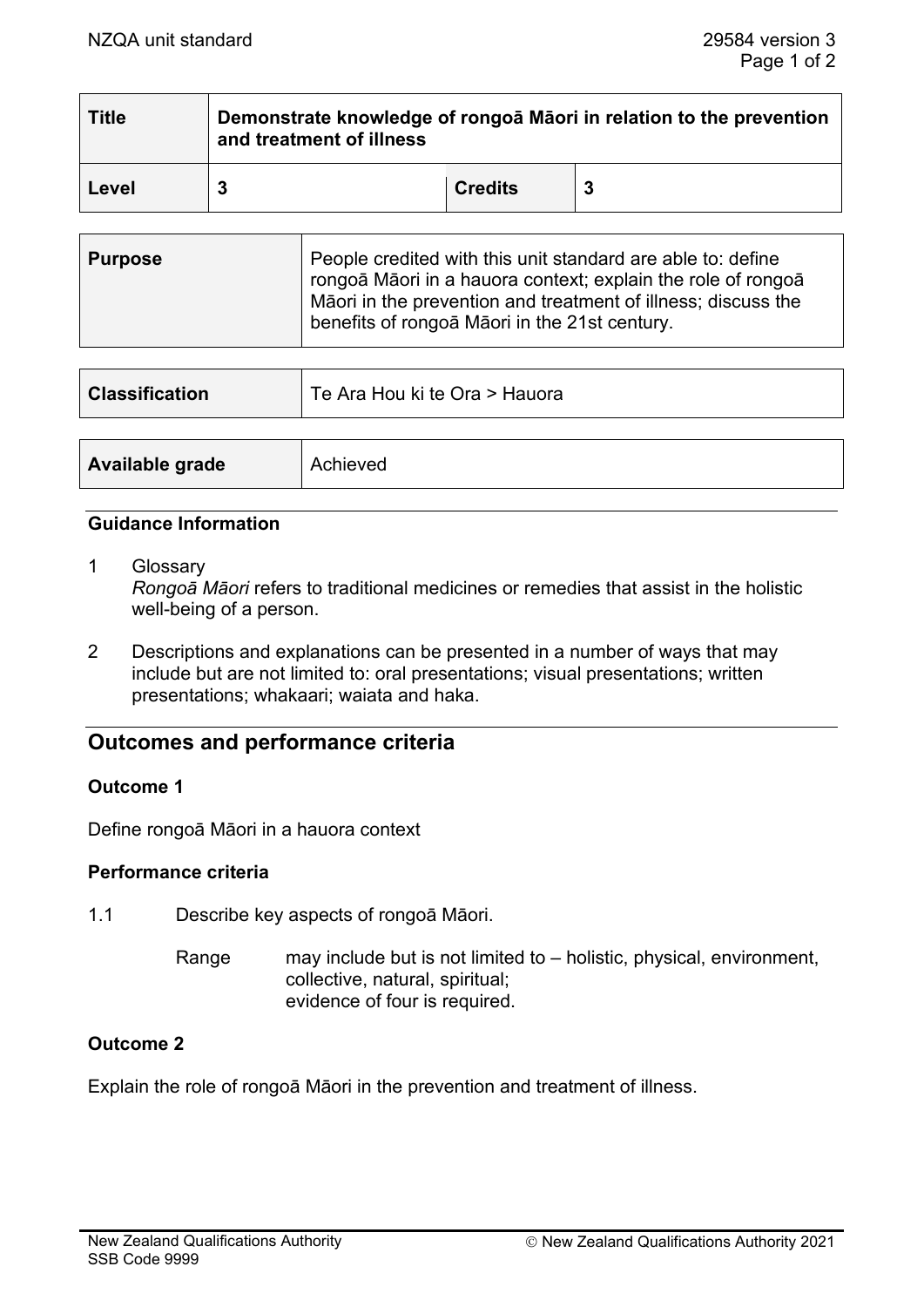| <b>Title</b> | Demonstrate knowledge of rongoa Maori in relation to the prevention<br>and treatment of illness |                |  |
|--------------|-------------------------------------------------------------------------------------------------|----------------|--|
| Level        |                                                                                                 | <b>Credits</b> |  |

| <b>Purpose</b> | People credited with this unit standard are able to: define<br>rongoā Māori in a hauora context; explain the role of rongoā<br>Māori in the prevention and treatment of illness; discuss the<br>benefits of rongoa Maori in the 21st century. |
|----------------|-----------------------------------------------------------------------------------------------------------------------------------------------------------------------------------------------------------------------------------------------|
|                |                                                                                                                                                                                                                                               |

| <b>Classification</b> | Te Ara Hou ki te Ora > Hauora |  |
|-----------------------|-------------------------------|--|
|                       |                               |  |
| Available grade       | Achieved                      |  |

#### **Guidance Information**

- 1 Glossary *Rongoā Māori* refers to traditional medicines or remedies that assist in the holistic well-being of a person.
- 2 Descriptions and explanations can be presented in a number of ways that may include but are not limited to: oral presentations; visual presentations; written presentations; whakaari; waiata and haka.

# **Outcomes and performance criteria**

### **Outcome 1**

Define rongoā Māori in a hauora context

#### **Performance criteria**

1.1 Describe key aspects of rongoā Māori.

Range may include but is not limited to – holistic, physical, environment, collective, natural, spiritual; evidence of four is required.

### **Outcome 2**

Explain the role of rongoā Māori in the prevention and treatment of illness.